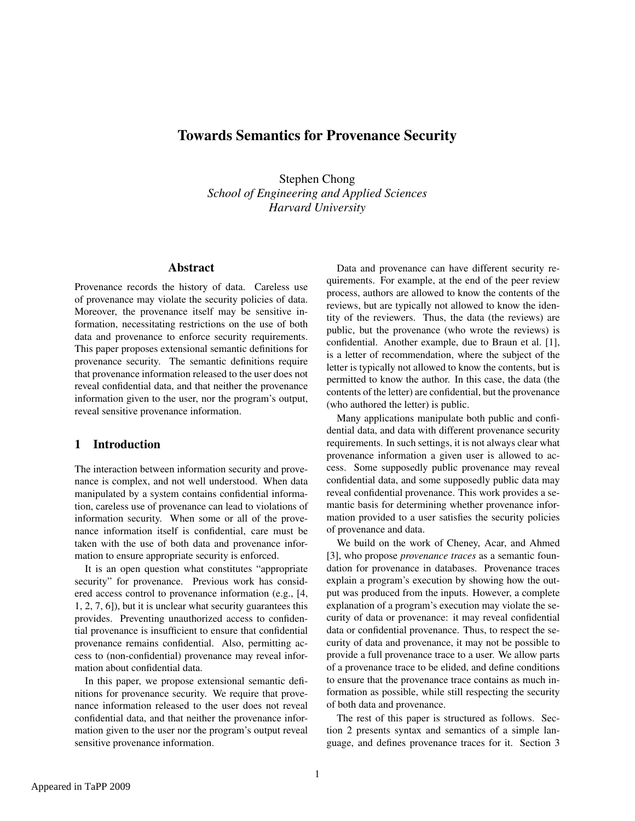# Towards Semantics for Provenance Security

Stephen Chong *School of Engineering and Applied Sciences Harvard University*

## Abstract

Provenance records the history of data. Careless use of provenance may violate the security policies of data. Moreover, the provenance itself may be sensitive information, necessitating restrictions on the use of both data and provenance to enforce security requirements. This paper proposes extensional semantic definitions for provenance security. The semantic definitions require that provenance information released to the user does not reveal confidential data, and that neither the provenance information given to the user, nor the program's output, reveal sensitive provenance information.

# 1 Introduction

The interaction between information security and provenance is complex, and not well understood. When data manipulated by a system contains confidential information, careless use of provenance can lead to violations of information security. When some or all of the provenance information itself is confidential, care must be taken with the use of both data and provenance information to ensure appropriate security is enforced.

It is an open question what constitutes "appropriate security" for provenance. Previous work has considered access control to provenance information (e.g., [\[4,](#page-4-0) [1,](#page-4-1) [2,](#page-4-2) [7,](#page-4-3) [6\]](#page-4-4)), but it is unclear what security guarantees this provides. Preventing unauthorized access to confidential provenance is insufficient to ensure that confidential provenance remains confidential. Also, permitting access to (non-confidential) provenance may reveal information about confidential data.

In this paper, we propose extensional semantic definitions for provenance security. We require that provenance information released to the user does not reveal confidential data, and that neither the provenance information given to the user nor the program's output reveal sensitive provenance information.

Data and provenance can have different security requirements. For example, at the end of the peer review process, authors are allowed to know the contents of the reviews, but are typically not allowed to know the identity of the reviewers. Thus, the data (the reviews) are public, but the provenance (who wrote the reviews) is confidential. Another example, due to Braun et al. [\[1\]](#page-4-1), is a letter of recommendation, where the subject of the letter is typically not allowed to know the contents, but is permitted to know the author. In this case, the data (the contents of the letter) are confidential, but the provenance (who authored the letter) is public.

Many applications manipulate both public and confidential data, and data with different provenance security requirements. In such settings, it is not always clear what provenance information a given user is allowed to access. Some supposedly public provenance may reveal confidential data, and some supposedly public data may reveal confidential provenance. This work provides a semantic basis for determining whether provenance information provided to a user satisfies the security policies of provenance and data.

We build on the work of Cheney, Acar, and Ahmed [\[3\]](#page-4-5), who propose *provenance traces* as a semantic foundation for provenance in databases. Provenance traces explain a program's execution by showing how the output was produced from the inputs. However, a complete explanation of a program's execution may violate the security of data or provenance: it may reveal confidential data or confidential provenance. Thus, to respect the security of data and provenance, it may not be possible to provide a full provenance trace to a user. We allow parts of a provenance trace to be elided, and define conditions to ensure that the provenance trace contains as much information as possible, while still respecting the security of both data and provenance.

The rest of this paper is structured as follows. Section [2](#page-1-0) presents syntax and semantics of a simple language, and defines provenance traces for it. Section [3](#page-2-0)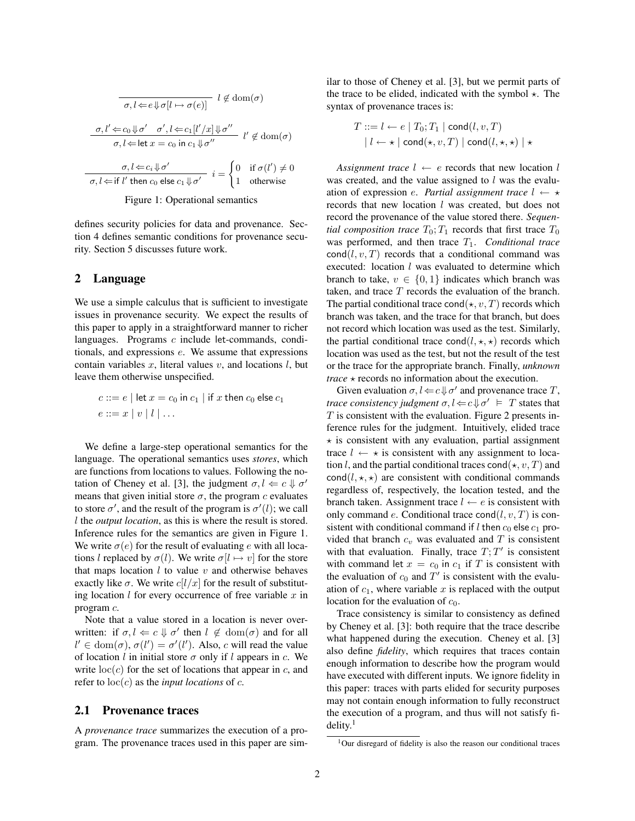$$
\overline{\sigma, l \Leftarrow e \Downarrow \sigma [l \mapsto \sigma(e)]} \quad l \notin \text{dom}(\sigma)
$$

$$
\frac{\sigma, l' \Leftarrow c_0 \Downarrow \sigma' \quad \sigma', l \Leftarrow c_1 [l'/x] \Downarrow \sigma''}{\sigma, l \Leftarrow \text{let } x = c_0 \text{ in } c_1 \Downarrow \sigma''} \quad l' \notin \text{dom}(\sigma)
$$

$$
\frac{\sigma, l \Leftarrow c_i \Downarrow \sigma'}{\sigma, l \Leftarrow \text{if } l' \text{ then } c_0 \text{ else } c_1 \Downarrow \sigma'} \quad i = \begin{cases} 0 & \text{if } \sigma(l') \neq 0 \\ 1 & \text{otherwise} \end{cases}
$$

<span id="page-1-1"></span>Figure 1: Operational semantics

defines security policies for data and provenance. Section [4](#page-3-0) defines semantic conditions for provenance security. Section [5](#page-4-6) discusses future work.

## <span id="page-1-0"></span>2 Language

We use a simple calculus that is sufficient to investigate issues in provenance security. We expect the results of this paper to apply in a straightforward manner to richer languages. Programs c include let-commands, conditionals, and expressions e. We assume that expressions contain variables  $x$ , literal values  $v$ , and locations  $l$ , but leave them otherwise unspecified.

$$
c ::= e | \text{ let } x = c_0 \text{ in } c_1 | \text{ if } x \text{ then } c_0 \text{ else } c_1
$$
  

$$
e ::= x | v | l | \dots
$$

We define a large-step operational semantics for the language. The operational semantics uses *stores*, which are functions from locations to values. Following the no-tation of Cheney et al. [\[3\]](#page-4-5), the judgment  $\sigma, l \Leftarrow c \Downarrow \sigma'$ means that given initial store  $\sigma$ , the program c evaluates to store  $\sigma'$ , and the result of the program is  $\sigma'(l)$ ; we call l the *output location*, as this is where the result is stored. Inference rules for the semantics are given in Figure [1.](#page-1-1) We write  $\sigma(e)$  for the result of evaluating e with all locations l replaced by  $\sigma(l)$ . We write  $\sigma[l \mapsto v]$  for the store that maps location  $l$  to value  $v$  and otherwise behaves exactly like  $\sigma$ . We write  $c[l/x]$  for the result of substituting location  $l$  for every occurrence of free variable  $x$  in program c.

Note that a value stored in a location is never overwritten: if  $\sigma, l \Leftarrow c \Downarrow \sigma'$  then  $l \not\in \text{dom}(\sigma)$  and for all  $l' \in \text{dom}(\sigma)$ ,  $\sigma(l') = \sigma'(l')$ . Also, c will read the value of location l in initial store  $\sigma$  only if l appears in c. We write  $\text{loc}(c)$  for the set of locations that appear in c, and refer to  $loc(c)$  as the *input locations* of c.

#### 2.1 Provenance traces

A *provenance trace* summarizes the execution of a program. The provenance traces used in this paper are similar to those of Cheney et al. [\[3\]](#page-4-5), but we permit parts of the trace to be elided, indicated with the symbol  $\star$ . The syntax of provenance traces is:

$$
T ::= l \leftarrow e | T_0; T_1 | \text{cond}(l, v, T)
$$

$$
| l \leftarrow \star | \text{cond}(\star, v, T) | \text{cond}(l, \star, \star) | \star
$$

*Assignment trace*  $l \leftarrow e$  records that new location l was created, and the value assigned to  $l$  was the evaluation of expression *e. Partial assignment trace*  $l \leftarrow \star$ records that new location l was created, but does not record the provenance of the value stored there. *Sequential composition trace*  $T_0$ ;  $T_1$  records that first trace  $T_0$ was performed, and then trace  $T_1$ . *Conditional trace*  $\text{cond}(l, v, T)$  records that a conditional command was executed: location  $l$  was evaluated to determine which branch to take,  $v \in \{0, 1\}$  indicates which branch was taken, and trace  $T$  records the evaluation of the branch. The partial conditional trace cond( $\star$ , v, T) records which branch was taken, and the trace for that branch, but does not record which location was used as the test. Similarly, the partial conditional trace cond $(l, \star, \star)$  records which location was used as the test, but not the result of the test or the trace for the appropriate branch. Finally, *unknown trace*  $\star$  records no information about the execution.

Given evaluation  $\sigma, l \Leftarrow c \Downarrow \sigma'$  and provenance trace T, *trace consistency judgment*  $\sigma, l \Leftarrow c \Downarrow \sigma' \models T$  states that  $T$  is consistent with the evaluation. Figure [2](#page-2-1) presents inference rules for the judgment. Intuitively, elided trace  $\star$  is consistent with any evaluation, partial assignment trace  $l \leftarrow \star$  is consistent with any assignment to location l, and the partial conditional traces cond( $\star$ , v, T) and cond( $l, \star, \star$ ) are consistent with conditional commands regardless of, respectively, the location tested, and the branch taken. Assignment trace  $l \leftarrow e$  is consistent with only command e. Conditional trace cond $(l, v, T)$  is consistent with conditional command if l then  $c_0$  else  $c_1$  provided that branch  $c_v$  was evaluated and T is consistent with that evaluation. Finally, trace  $T$ ;  $T'$  is consistent with command let  $x = c_0$  in  $c_1$  if T is consistent with the evaluation of  $c_0$  and  $T'$  is consistent with the evaluation of  $c_1$ , where variable x is replaced with the output location for the evaluation of  $c_0$ .

Trace consistency is similar to consistency as defined by Cheney et al. [\[3\]](#page-4-5): both require that the trace describe what happened during the execution. Cheney et al. [\[3\]](#page-4-5) also define *fidelity*, which requires that traces contain enough information to describe how the program would have executed with different inputs. We ignore fidelity in this paper: traces with parts elided for security purposes may not contain enough information to fully reconstruct the execution of a program, and thus will not satisfy fi- $delity<sup>1</sup>$  $delity<sup>1</sup>$  $delity<sup>1</sup>$ 

<span id="page-1-2"></span> $1$ Our disregard of fidelity is also the reason our conditional traces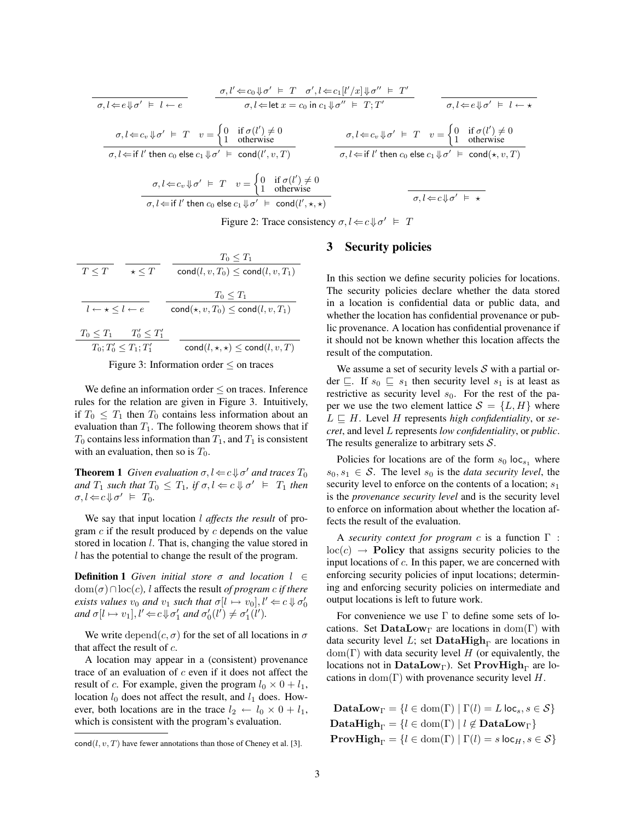$$
\sigma, l \Leftarrow e \Downarrow \sigma' \models l \leftarrow e
$$
\n
$$
\sigma, l \Leftarrow e \Downarrow \sigma' \models T \quad \sigma', l \Leftarrow c_1[l'/x] \Downarrow \sigma'' \models T'
$$
\n
$$
\sigma, l \Leftarrow e \Downarrow \sigma' \models l \leftarrow \star
$$
\n
$$
\sigma, l \Leftarrow c_v \Downarrow \sigma' \models T \quad v = \begin{cases} 0 & \text{if } \sigma(l') \neq 0 \\ 1 & \text{otherwise} \end{cases}
$$
\n
$$
\sigma, l \Leftarrow c_v \Downarrow \sigma' \models T \quad v = \begin{cases} 0 & \text{if } \sigma(l') \neq 0 \\ 1 & \text{otherwise} \end{cases}
$$
\n
$$
\sigma, l \Leftarrow c_v \Downarrow \sigma' \models T \quad v = \begin{cases} 0 & \text{if } \sigma(l') \neq 0 \\ 1 & \text{otherwise} \end{cases}
$$
\n
$$
\sigma, l \Leftarrow c_v \Downarrow \sigma' \models T \quad v = \begin{cases} 0 & \text{if } \sigma(l') \neq 0 \\ 1 & \text{otherwise} \end{cases}
$$
\n
$$
\sigma, l \Leftarrow c_v \Downarrow \sigma' \models T \quad v = \begin{cases} 0 & \text{if } \sigma(l') \neq 0 \\ 1 & \text{otherwise} \end{cases}
$$
\n
$$
\sigma, l \Leftarrow c_v \Downarrow \sigma' \models T \quad v = \begin{cases} 0 & \text{if } \sigma(l') \neq 0 \\ 1 & \text{otherwise} \end{cases}
$$
\n
$$
\sigma, l \Leftarrow c \Downarrow \sigma' \models \star
$$

<span id="page-2-1"></span>Figure 2: Trace consistency  $\sigma, l \Leftarrow c \Downarrow \sigma' \models T$ 

| $T \leq T$                               | $T_0 \leq T_1$                                           |                                                      |
|------------------------------------------|----------------------------------------------------------|------------------------------------------------------|
| $T \leq T$                               | $\star \leq T$                                           | $\text{cond}(l, v, T_0) \leq \text{cond}(l, v, T_1)$ |
| $l \leftarrow \star \leq l \leftarrow e$ | $\text{cond}(\star, v, T_0) \leq \text{cond}(l, v, T_1)$ |                                                      |
| $T_0 \leq T_1$                           | $T'_0 \leq T'_1$                                         |                                                      |
| $T_0; T'_0 \leq T_1; T'_1$               | $\text{cond}(l, \star, \star) \leq \text{cond}(l, v, T)$ |                                                      |

\nFigure 3: Information order  $\leq$  on traces

<span id="page-2-2"></span>We define an information order  $\leq$  on traces. Inference rules for the relation are given in Figure [3.](#page-2-2) Intuitively, if  $T_0 \n\leq T_1$  then  $T_0$  contains less information about an evaluation than  $T_1$ . The following theorem shows that if  $T_0$  contains less information than  $T_1$ , and  $T_1$  is consistent with an evaluation, then so is  $T_0$ .

**Theorem 1** *Given evaluation*  $\sigma, l \Leftarrow c \Downarrow \sigma'$  *and traces*  $T_0$ *and*  $T_1$  *such that*  $T_0 \leq T_1$ *, if*  $\sigma, l \Leftarrow c \Downarrow \sigma' \models T_1$  *then*  $\sigma, l \Leftarrow c \Downarrow \sigma' \models T_0.$ 

We say that input location l *affects the result* of program  $c$  if the result produced by  $c$  depends on the value stored in location *l*. That is, changing the value stored in l has the potential to change the result of the program.

**Definition 1** *Given initial store*  $\sigma$  *and location*  $l \in$  $dom(\sigma) \cap loc(c)$ , *l* affects the result *of program c if there exists values*  $v_0$  *and*  $v_1$  *such that*  $\sigma[l \mapsto v_0], l' \Leftarrow c \Downarrow \sigma'_0$ and  $\sigma[l \mapsto v_1], l' \Leftarrow c \Downarrow \sigma'_1$  and  $\sigma'_0(l') \neq \sigma'_1(l').$ 

We write depend $(c, \sigma)$  for the set of all locations in  $\sigma$ that affect the result of  $c$ .

A location may appear in a (consistent) provenance trace of an evaluation of  $c$  even if it does not affect the result of c. For example, given the program  $l_0 \times 0 + l_1$ , location  $l_0$  does not affect the result, and  $l_1$  does. However, both locations are in the trace  $l_2 \leftarrow l_0 \times 0 + l_1$ , which is consistent with the program's evaluation.

#### <span id="page-2-0"></span>3 Security policies

In this section we define security policies for locations. The security policies declare whether the data stored in a location is confidential data or public data, and whether the location has confidential provenance or public provenance. A location has confidential provenance if it should not be known whether this location affects the result of the computation.

We assume a set of security levels  $S$  with a partial order  $\sqsubseteq$ . If  $s_0 \sqsubseteq s_1$  then security level  $s_1$  is at least as restrictive as security level  $s_0$ . For the rest of the paper we use the two element lattice  $S = \{L, H\}$  where  $L \nightharpoonup H$ . Level H represents *high confidentiality*, or *secret*, and level L represents *low confidentiality*, or *public*. The results generalize to arbitrary sets  $S$ .

Policies for locations are of the form  $s_0$  loc<sub>s1</sub> where  $s_0, s_1 \in S$ . The level  $s_0$  is the *data security level*, the security level to enforce on the contents of a location;  $s_1$ is the *provenance security level* and is the security level to enforce on information about whether the location affects the result of the evaluation.

A *security context for program* c is a function Γ :  $loc(c) \rightarrow$  **Policy** that assigns security policies to the input locations of  $c$ . In this paper, we are concerned with enforcing security policies of input locations; determining and enforcing security policies on intermediate and output locations is left to future work.

For convenience we use  $\Gamma$  to define some sets of locations. Set DataLow<sub>Γ</sub> are locations in dom(Γ) with data security level L; set DataHigh<sub>Γ</sub> are locations in  $dom(\Gamma)$  with data security level H (or equivalently, the locations not in DataLow<sub>Γ</sub>). Set ProvHigh<sub>Γ</sub> are locations in  $dom(\Gamma)$  with provenance security level H.

 $\text{cond}(l, v, T)$  have fewer annotations than those of Cheney et al. [\[3\]](#page-4-5).

 $\textbf{DataLow}_{\Gamma} = \{l \in \text{dom}(\Gamma) \mid \Gamma(l) = L \text{ loc}_{s}, s \in \mathcal{S}\}\$ DataHigh<sub>Γ</sub> = { $l \in \text{dom}(\Gamma) \mid l \notin \text{DataLow}_{\Gamma}$ }  $$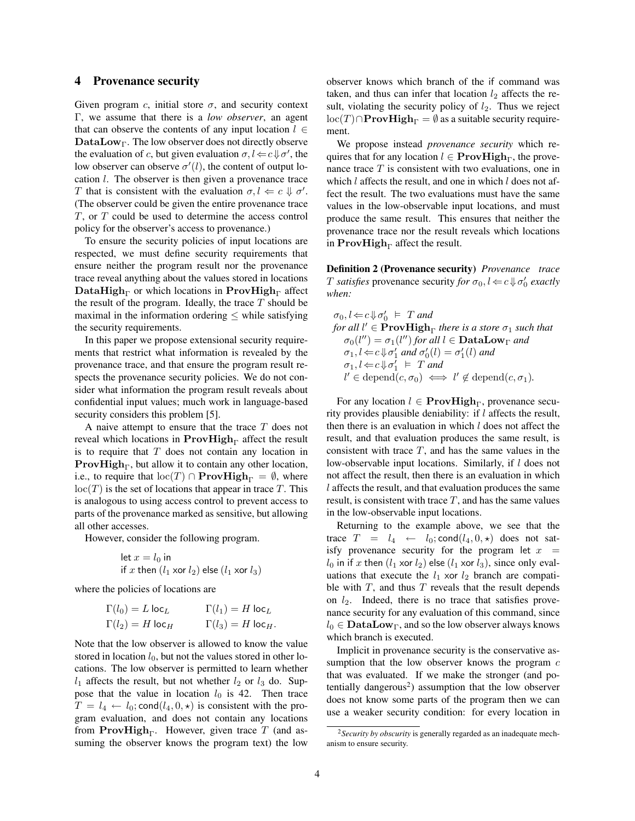#### <span id="page-3-0"></span>4 Provenance security

Given program c, initial store  $\sigma$ , and security context Γ, we assume that there is a *low observer*, an agent that can observe the contents of any input location  $l \in$  $\mathbf{DataLow}_{\Gamma}$ . The low observer does not directly observe the evaluation of c, but given evaluation  $\sigma, l \leftarrow c \Downarrow \sigma'$ , the low observer can observe  $\sigma'(l)$ , the content of output location l. The observer is then given a provenance trace T that is consistent with the evaluation  $\sigma, l \Leftarrow c \Downarrow \sigma'.$ (The observer could be given the entire provenance trace T, or T could be used to determine the access control policy for the observer's access to provenance.)

To ensure the security policies of input locations are respected, we must define security requirements that ensure neither the program result nor the provenance trace reveal anything about the values stored in locations DataHigh<sub>Γ</sub> or which locations in ProvHigh<sub>Γ</sub> affect the result of the program. Ideally, the trace  $T$  should be maximal in the information ordering  $\leq$  while satisfying the security requirements.

In this paper we propose extensional security requirements that restrict what information is revealed by the provenance trace, and that ensure the program result respects the provenance security policies. We do not consider what information the program result reveals about confidential input values; much work in language-based security considers this problem [\[5\]](#page-4-7).

A naive attempt to ensure that the trace  $T$  does not reveal which locations in  $\text{ProvHigh}_{\Gamma}$  affect the result is to require that  $T$  does not contain any location in **ProvHigh** $\Gamma$ , but allow it to contain any other location, i.e., to require that  $\text{loc}(T) \cap \text{ProvHigh}_{\Gamma} = \emptyset$ , where  $loc(T)$  is the set of locations that appear in trace T. This is analogous to using access control to prevent access to parts of the provenance marked as sensitive, but allowing all other accesses.

However, consider the following program.

let 
$$
x = l_0
$$
 in  
if x then  $(l_1 \text{ xor } l_2)$  else  $(l_1 \text{ xor } l_3)$ 

where the policies of locations are

$$
\Gamma(l_0) = L \log_L \qquad \qquad \Gamma(l_1) = H \log_L
$$
  

$$
\Gamma(l_2) = H \log_H \qquad \qquad \Gamma(l_3) = H \log_H.
$$

Note that the low observer is allowed to know the value stored in location  $l_0$ , but not the values stored in other locations. The low observer is permitted to learn whether  $l_1$  affects the result, but not whether  $l_2$  or  $l_3$  do. Suppose that the value in location  $l_0$  is 42. Then trace  $T = l_4 \leftarrow l_0$ ; cond $(l_4, 0, \star)$  is consistent with the program evaluation, and does not contain any locations from ProvHigh<sub> $\Gamma$ </sub>. However, given trace T (and assuming the observer knows the program text) the low observer knows which branch of the if command was taken, and thus can infer that location  $l_2$  affects the result, violating the security policy of  $l_2$ . Thus we reject  $\text{loc}(T) \cap \text{ProvHigh}_{\Gamma} = \emptyset$  as a suitable security requirement.

We propose instead *provenance security* which requires that for any location  $l \in \mathbf{ProvHigh}_{\Gamma}$ , the provenance trace  $T$  is consistent with two evaluations, one in which  $l$  affects the result, and one in which  $l$  does not affect the result. The two evaluations must have the same values in the low-observable input locations, and must produce the same result. This ensures that neither the provenance trace nor the result reveals which locations in ProvHigh<sub> $\Gamma$ </sub> affect the result.

Definition 2 (Provenance security) *Provenance trace T satisfies* provenance security *for*  $\sigma_0$ ,  $l \Leftarrow c \Downarrow \sigma'_0$  *exactly when:*

 $\sigma_0, l \Leftarrow c \Downarrow \sigma'_0 \models T$  and *for all*  $l' \in \mathbf{ProvHigh}_{\Gamma}$  *there is a store*  $\sigma_1$  *such that*  $\sigma_0(l'') = \sigma_1(l'')$  for all  $l \in \mathbf{DataLow}_{\Gamma}$  and  $\sigma_1, l \leftarrow c \Downarrow \sigma'_1$  and  $\sigma'_0(l) = \sigma'_1(l)$  and  $\sigma_1, l \Leftarrow c \Downarrow \sigma'_1 \models T$  and  $l' \in \text{depend}(c, \sigma_0) \iff l' \notin \text{depend}(c, \sigma_1)$ *.* 

For any location  $l \in \mathbf{ProvHigh}_{\Gamma}$ , provenance security provides plausible deniability: if  $l$  affects the result, then there is an evaluation in which  $l$  does not affect the result, and that evaluation produces the same result, is consistent with trace  $T$ , and has the same values in the low-observable input locations. Similarly, if l does not not affect the result, then there is an evaluation in which l affects the result, and that evaluation produces the same result, is consistent with trace  $T$ , and has the same values in the low-observable input locations.

Returning to the example above, we see that the trace  $T = l_4 \leftarrow l_0$ ; cond $(l_4, 0, \star)$  does not satisfy provenance security for the program let  $x =$  $l_0$  in if x then  $(l_1 \times r l_2)$  else  $(l_1 \times r l_3)$ , since only evaluations that execute the  $l_1$  xor  $l_2$  branch are compatible with  $T$ , and thus  $T$  reveals that the result depends on  $l_2$ . Indeed, there is no trace that satisfies provenance security for any evaluation of this command, since  $l_0 \in \textbf{DataLow}_\Gamma$ , and so the low observer always knows which branch is executed.

Implicit in provenance security is the conservative assumption that the low observer knows the program  $c$ that was evaluated. If we make the stronger (and po-tentially dangerous<sup>[2](#page-3-1)</sup>) assumption that the low observer does not know some parts of the program then we can use a weaker security condition: for every location in

<span id="page-3-1"></span><sup>2</sup>*Security by obscurity* is generally regarded as an inadequate mechanism to ensure security.